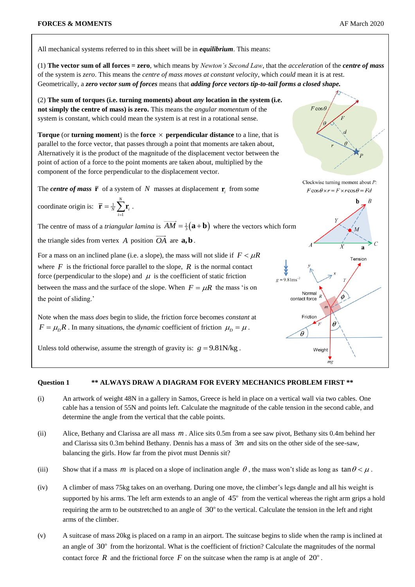All mechanical systems referred to in this sheet will be in *equilibrium*. This means:

(1) **The vector sum of all forces = zero**, which means by *Newton's Second Law*, that the *acceleration* of the *centre of mass* of the system is *zero*. This means the *centre of mass moves at constant velocity*, which *could* mean it is at rest. Geometrically, a *zero vector sum of forces* means that *adding force vectors tip-to-tail forms a closed shape.*

(2) **The sum of torques (i.e. turning moments) about** *any* **location in the system (i.e. not simply the centre of mass) is zero.** This means the *angular momentum* of the system is constant, which could mean the system is at rest in a rotational sense.

**Torque** (or **turning moment**) is the **force**  $\times$  **perpendicular distance** to a line, that is parallel to the force vector, that passes through a point that moments are taken about, Alternatively it is the product of the magnitude of the displacement vector between the point of action of a force to the point moments are taken about, multiplied by the component of the force perpendicular to the displacement vector.

The *centre of mass*  $\overline{\mathbf{r}}$  of a system of N masses at displacement  $\mathbf{r}_i$  from some

coordinate origin is: 
$$
\overline{\mathbf{r}} = \frac{1}{N} \sum_{i=1}^{N} \mathbf{r}_i
$$
.

The centre of mass of a *triangular lamina* is  $AM = \frac{1}{3} (a + b)$  where the vectors which form the triangle sides from vertex  $A$  position  $OA$  are  $a, b$ .

For a mass on an inclined plane (i.e. a slope), the mass will not slide if  $F < \mu R$ where  $F$  is the frictional force parallel to the slope,  $R$  is the normal contact force (perpendicular to the slope) and  $\mu$  is the coefficient of static friction between the mass and the surface of the slope. When  $F = \mu R$  the mass 'is on the point of sliding.'

Note when the mass *does* begin to slide, the friction force becomes *constant* at  $F = \mu_D R$ . In many situations, the *dynamic* coefficient of friction  $\mu_D = \mu$ .

Unless told otherwise, assume the strength of gravity is:  $g = 9.81$ N/kg.



## **Question 1 \*\* ALWAYS DRAW A DIAGRAM FOR EVERY MECHANICS PROBLEM FIRST \*\***

- (i) An artwork of weight 48N in a gallery in Samos, Greece is held in place on a vertical wall via two cables. One cable has a tension of 55N and points left. Calculate the magnitude of the cable tension in the second cable, and determine the angle from the vertical that the cable points.
- (ii) Alice, Bethany and Clarissa are all mass  $m$ . Alice sits 0.5m from a see saw pivot, Bethany sits 0.4m behind her and Clarissa sits 0.3m behind Bethany. Dennis has a mass of 3*m* and sits on the other side of the see-saw, balancing the girls. How far from the pivot must Dennis sit?
- (iii) Show that if a mass m is placed on a slope of inclination angle  $\theta$ , the mass won't slide as long as  $\tan \theta < \mu$ .
- (iv) A climber of mass 75kg takes on an overhang. During one move, the climber's legs dangle and all his weight is supported by his arms. The left arm extends to an angle of  $45^{\circ}$  from the vertical whereas the right arm grips a hold requiring the arm to be outstretched to an angle of  $30^{\circ}$  to the vertical. Calculate the tension in the left and right arms of the climber.
- (v) A suitcase of mass 20kg is placed on a ramp in an airport. The suitcase begins to slide when the ramp is inclined at an angle of  $30^{\circ}$  from the horizontal. What is the coefficient of friction? Calculate the magnitudes of the normal contact force  $R$  and the frictional force  $F$  on the suitcase when the ramp is at angle of  $20^{\circ}$ .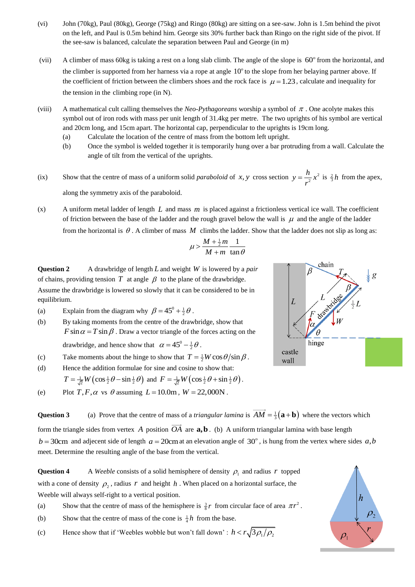- (vi) John (70kg), Paul (80kg), George (75kg) and Ringo (80kg) are sitting on a see-saw. John is 1.5m behind the pivot on the left, and Paul is 0.5m behind him. George sits 30% further back than Ringo on the right side of the pivot. If the see-saw is balanced, calculate the separation between Paul and George (in m)
- (vii) A climber of mass 60kg is taking a rest on a long slab climb. The angle of the slope is 60° from the horizontal, and the climber is supported from her harness via a rope at angle  $10^{\circ}$  to the slope from her belaying partner above. If the coefficient of friction between the climbers shoes and the rock face is  $\mu = 1.23$ , calculate and inequality for the tension in the climbing rope (in N).
- (viii) A mathematical cult calling themselves the *Neo-Pythagoreans* worship a symbol of  $\pi$ . One acolyte makes this symbol out of iron rods with mass per unit length of 31.4kg per metre. The two uprights of his symbol are vertical and 20cm long, and 15cm apart. The horizontal cap, perpendicular to the uprights is 19cm long.
	- (a) Calculate the location of the centre of mass from the bottom left upright.
	- (b) Once the symbol is welded together it is temporarily hung over a bar protruding from a wall. Calculate the angle of tilt from the vertical of the uprights.
- (ix) Show that the centre of mass of a uniform solid *paraboloid* of x, y cross section  $y = \frac{h}{2}x^2$ 2  $y = \frac{h}{2}x$ *r*  $=\frac{h}{2}x^2$  is  $\frac{2}{3}h$  from the apex, along the symmetry axis of the paraboloid.
- $(x)$  A uniform metal ladder of length  $L$  and mass  $m$  is placed against a frictionless vertical ice wall. The coefficient of friction between the base of the ladder and the rough gravel below the wall is  $\mu$  and the angle of the ladder from the horizontal is  $\theta$ . A climber of mass M climbs the ladder. Show that the ladder does not slip as long as:

$$
\mu > \frac{M+\frac{1}{2}m}{M+m}\frac{1}{\tan\theta}
$$

**Question 2** A drawbridge of length *L* and weight *W* is lowered by a *pair* of chains, providing tension  $T$  at angle  $\beta$  to the plane of the drawbridge. Assume the drawbridge is lowered so slowly that it can be considered to be in equilibrium.

- (a) Explain from the diagram why  $\beta = 45^{\circ} + \frac{1}{2}\theta$ .
- (b) By taking moments from the centre of the drawbridge, show that  $F \sin \alpha = T \sin \beta$ . Draw a vector triangle of the forces acting on the drawbridge, and hence show that  $\alpha = 45^{\circ} - \frac{1}{2}\theta$ .
- (c) Take moments about the hinge to show that  $T = \frac{1}{2}W \cos \theta / \sin \beta$ .
- (d) Hence the addition formulae for sine and cosine to show that:

$$
T = \frac{1}{\sqrt{2}} W \left( \cos \frac{1}{2} \theta - \sin \frac{1}{2} \theta \right) \text{ and } F = \frac{1}{\sqrt{2}} W \left( \cos \frac{1}{2} \theta + \sin \frac{1}{2} \theta \right).
$$

(e) Plot  $T, F, \alpha$  vs  $\theta$  assuming  $L = 10.0$ m,  $W = 22,000$ N.

**Question 3** (a) Prove that the centre of mass of a *triangular lamina* is  $AM = \frac{1}{3}(a + b)$  where the vectors which

form the triangle sides from vertex  $\vec{A}$  position  $\vec{OA}$  are  $\vec{a}, \vec{b}$ . (b) A uniform triangular lamina with base length  $b = 30$ cm and adjecent side of length  $a = 20$ cm at an elevation angle of 30°, is hung from the vertex where sides  $a, b$ meet. Determine the resulting angle of the base from the vertical.

**Question 4** A *Weeble* consists of a solid hemisphere of density  $\rho_1$  and radius r topped with a cone of density  $\rho_2$ , radius r and height h. When placed on a horizontal surface, the Weeble will always self-right to a vertical position.

- (a) Show that the centre of mass of the hemisphere is  $\frac{3}{8}r$  from circular face of area  $\pi r^2$ .
- (b) Show that the centre of mass of the cone is  $\frac{1}{4}h$  from the base.
- (c) Hence show that if 'Weebles wobble but won't fall down':  $h < r \sqrt{3\rho_1/\rho_2}$